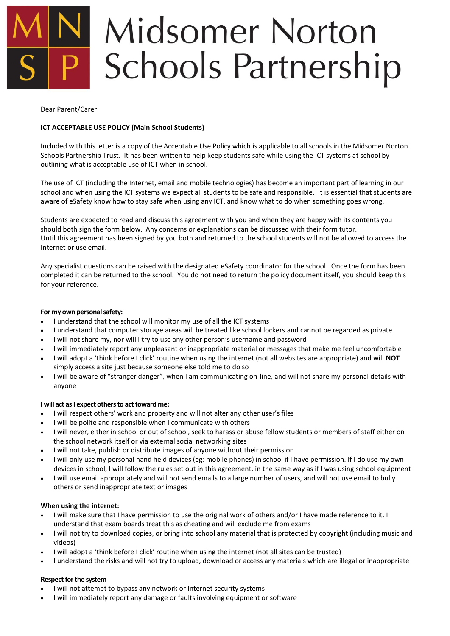# **Midsomer Norton Schools Partnership**

Dear Parent/Carer

# **ICT ACCEPTABLE USE POLICY (Main School Students)**

Included with this letter is a copy of the Acceptable Use Policy which is applicable to all schools in the Midsomer Norton Schools Partnership Trust. It has been written to help keep students safe while using the ICT systems at school by outlining what is acceptable use of ICT when in school.

The use of ICT (including the Internet, email and mobile technologies) has become an important part of learning in our school and when using the ICT systems we expect all students to be safe and responsible. It is essential that students are aware of eSafety know how to stay safe when using any ICT, and know what to do when something goes wrong.

Students are expected to read and discuss this agreement with you and when they are happy with its contents you should both sign the form below. Any concerns or explanations can be discussed with their form tutor. Until this agreement has been signed by you both and returned to the school students will not be allowed to access the Internet or use email.

Any specialist questions can be raised with the designated eSafety coordinator for the school. Once the form has been completed it can be returned to the school. You do not need to return the policy document itself, you should keep this for your reference.

## **For my own personal safety:**

- I understand that the school will monitor my use of all the ICT systems
- I understand that computer storage areas will be treated like school lockers and cannot be regarded as private
- I will not share my, nor will I try to use any other person's username and password
- I will immediately report any unpleasant or inappropriate material or messages that make me feel uncomfortable
- I will adopt a 'think before I click' routine when using the internet (not all websites are appropriate) and will **NOT** simply access a site just because someone else told me to do so
- I will be aware of "stranger danger", when I am communicating on-line, and will not share my personal details with anyone

### **I will act as I expect others to act toward me:**

- I will respect others' work and property and will not alter any other user's files
- I will be polite and responsible when I communicate with others
- I will never, either in school or out of school, seek to harass or abuse fellow students or members of staff either on the school network itself or via external social networking sites
- I will not take, publish or distribute images of anyone without their permission
- I will only use my personal hand held devices (eg: mobile phones) in school if I have permission. If I do use my own devices in school, I will follow the rules set out in this agreement, in the same way as if I was using school equipment
- I will use email appropriately and will not send emails to a large number of users, and will not use email to bully others or send inappropriate text or images

### **When using the internet:**

- I will make sure that I have permission to use the original work of others and/or I have made reference to it. I understand that exam boards treat this as cheating and will exclude me from exams
- I will not try to download copies, or bring into school any material that is protected by copyright (including music and videos)
- I will adopt a 'think before I click' routine when using the internet (not all sites can be trusted)
- I understand the risks and will not try to upload, download or access any materials which are illegal or inappropriate

### **Respect for the system**

- I will not attempt to bypass any network or Internet security systems
- I will immediately report any damage or faults involving equipment or software